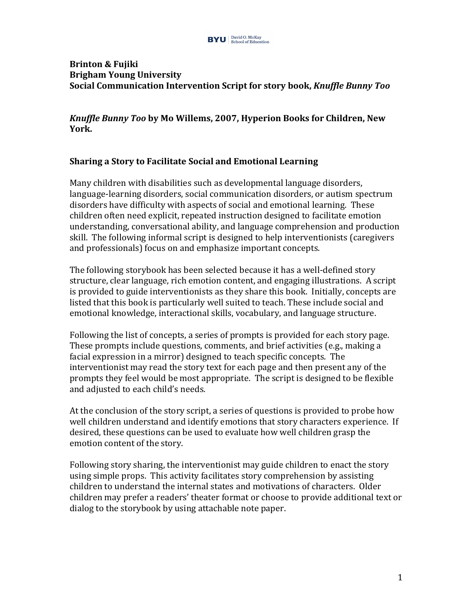

## **Brinton & Fujiki Brigham Young University Social Communication Intervention Script for story book,** *Knuffle Bunny Too*

*Knuffle Bunny Too* by Mo Willems, 2007, Hyperion Books for Children, New **York.** 

## **Sharing a Story to Facilitate Social and Emotional Learning**

Many children with disabilities such as developmental language disorders, language-learning disorders, social communication disorders, or autism spectrum disorders have difficulty with aspects of social and emotional learning. These children often need explicit, repeated instruction designed to facilitate emotion understanding, conversational ability, and language comprehension and production skill. The following informal script is designed to help interventionists (caregivers and professionals) focus on and emphasize important concepts.

The following storybook has been selected because it has a well-defined story structure, clear language, rich emotion content, and engaging illustrations. A script is provided to guide interventionists as they share this book. Initially, concepts are listed that this book is particularly well suited to teach. These include social and emotional knowledge, interactional skills, vocabulary, and language structure.

Following the list of concepts, a series of prompts is provided for each story page. These prompts include questions, comments, and brief activities (e.g., making a facial expression in a mirror) designed to teach specific concepts. The interventionist may read the story text for each page and then present any of the prompts they feel would be most appropriate. The script is designed to be flexible and adjusted to each child's needs.

At the conclusion of the story script, a series of questions is provided to probe how well children understand and identify emotions that story characters experience. If desired, these questions can be used to evaluate how well children grasp the emotion content of the story.

Following story sharing, the interventionist may guide children to enact the story using simple props. This activity facilitates story comprehension by assisting children to understand the internal states and motivations of characters. Older children may prefer a readers' theater format or choose to provide additional text or dialog to the storybook by using attachable note paper.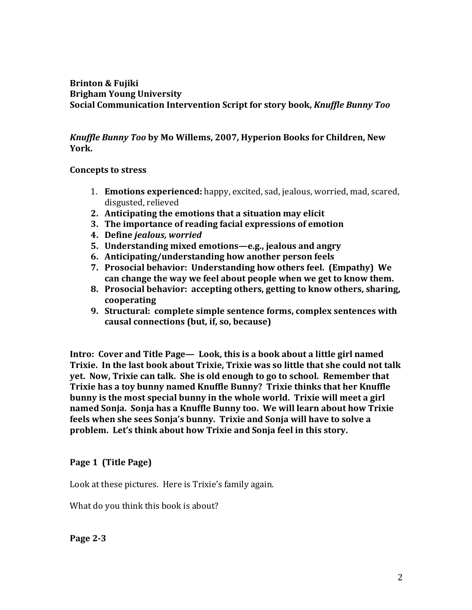## **Brinton & Fujiki Brigham Young University Social Communication Intervention Script for story book,** *Knuffle Bunny Too*

## *Knuffle Bunny Too* by Mo Willems, 2007, Hyperion Books for Children, New **York.**

## **Concepts to stress**

- 1. **Emotions experienced:** happy, excited, sad, jealous, worried, mad, scared, disgusted, relieved
- **2.** Anticipating the emotions that a situation may elicit
- **3.** The importance of reading facial expressions of emotion
- **4. Define** *jealous, worried*
- **5. Understanding mixed emotions—e.g., jealous and angry**
- **6. Anticipating/understanding how another person feels**
- **7.** Prosocial behavior: Understanding how others feel. (Empathy) We can change the way we feel about people when we get to know them.
- **8. Prosocial behavior: accepting others, getting to know others, sharing, cooperating**
- **9. Structural: complete simple sentence forms, complex sentences with** causal connections (but, if, so, because)

**Intro: Cover and Title Page— Look, this is a book about a little girl named** Trixie. In the last book about Trixie, Trixie was so little that she could not talk **yet.** Now, Trixie can talk. She is old enough to go to school. Remember that **Trixie has a toy bunny named Knuffle Bunny? Trixie thinks that her Knuffle bunny** is the most special bunny in the whole world. Trixie will meet a girl named Sonja. Sonja has a Knuffle Bunny too. We will learn about how Trixie feels when she sees Sonja's bunny. Trixie and Sonja will have to solve a problem. Let's think about how Trixie and Sonja feel in this story.

# Page 1 (Title Page)

Look at these pictures. Here is Trixie's family again.

What do you think this book is about?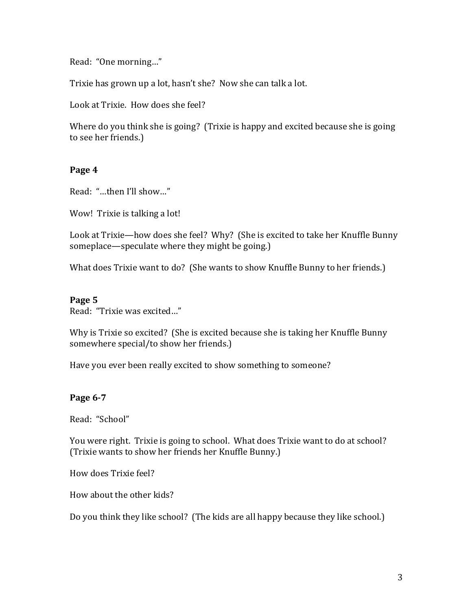Read: "One morning..."

Trixie has grown up a lot, hasn't she? Now she can talk a lot.

Look at Trixie. How does she feel?

Where do you think she is going? (Trixie is happy and excited because she is going to see her friends.)

## Page 4

Read: "...then I'll show..."

Wow! Trixie is talking a lot!

Look at Trixie—how does she feel? Why? (She is excited to take her Knuffle Bunny someplace—speculate where they might be going.)

What does Trixie want to do? (She wants to show Knuffle Bunny to her friends.)

#### Page 5

Read: "Trixie was excited..."

Why is Trixie so excited? (She is excited because she is taking her Knuffle Bunny somewhere special/to show her friends.)

Have you ever been really excited to show something to someone?

## **Page 6-7**

Read: "School"

You were right. Trixie is going to school. What does Trixie want to do at school? (Trixie wants to show her friends her Knuffle Bunny.)

How does Trixie feel? 

How about the other kids?

Do you think they like school? (The kids are all happy because they like school.)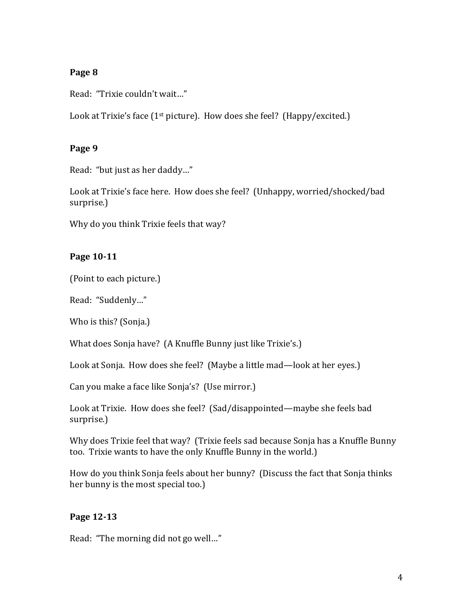# **Page 8**

Read: "Trixie couldn't wait..."

Look at Trixie's face ( $1^{st}$  picture). How does she feel? (Happy/excited.)

## **Page 9**

Read: "but just as her daddy..."

Look at Trixie's face here. How does she feel? (Unhappy, worried/shocked/bad surprise.)

Why do you think Trixie feels that way?

# **Page 10-11**

(Point to each picture.)

Read: "Suddenly..."

Who is this? (Sonja.)

What does Sonja have? (A Knuffle Bunny just like Trixie's.)

Look at Sonja. How does she feel? (Maybe a little mad—look at her eyes.)

Can you make a face like Sonja's? (Use mirror.)

Look at Trixie. How does she feel? (Sad/disappointed—maybe she feels bad surprise.)

Why does Trixie feel that way? (Trixie feels sad because Sonja has a Knuffle Bunny too. Trixie wants to have the only Knuffle Bunny in the world.)

How do you think Sonja feels about her bunny? (Discuss the fact that Sonja thinks her bunny is the most special too.)

# **Page 12-13**

Read: "The morning did not go well..."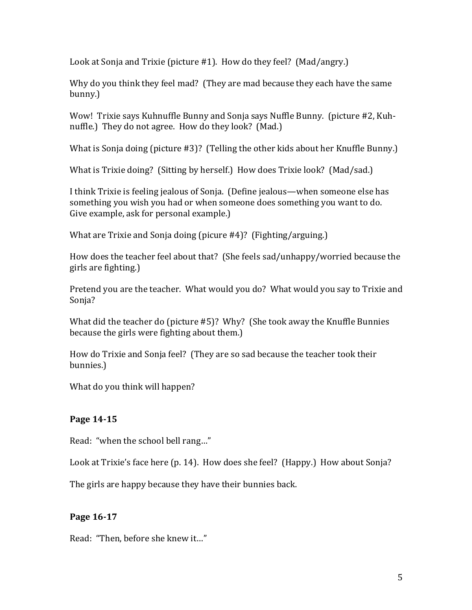Look at Sonja and Trixie (picture #1). How do they feel? (Mad/angry.)

Why do you think they feel mad? (They are mad because they each have the same bunny.) 

Wow! Trixie says Kuhnuffle Bunny and Sonja says Nuffle Bunny. (picture #2, Kuhnuffle.) They do not agree. How do they look? (Mad.)

What is Sonja doing (picture  $#3$ )? (Telling the other kids about her Knuffle Bunny.)

What is Trixie doing? (Sitting by herself.) How does Trixie look? (Mad/sad.)

I think Trixie is feeling jealous of Sonja. (Define jealous—when someone else has something you wish you had or when someone does something you want to do. Give example, ask for personal example.)

What are Trixie and Sonja doing (picure  $#4$ )? (Fighting/arguing.)

How does the teacher feel about that? (She feels sad/unhappy/worried because the girls are fighting.)

Pretend you are the teacher. What would you do? What would you say to Trixie and Sonja?

What did the teacher do (picture  $#5$ )? Why? (She took away the Knuffle Bunnies because the girls were fighting about them.)

How do Trixie and Sonja feel? (They are so sad because the teacher took their bunnies.)

What do you think will happen?

# **Page 14-15**

Read: "when the school bell rang..."

Look at Trixie's face here (p. 14). How does she feel? (Happy.) How about Sonja?

The girls are happy because they have their bunnies back.

# **Page 16-17**

Read: "Then, before she knew it..."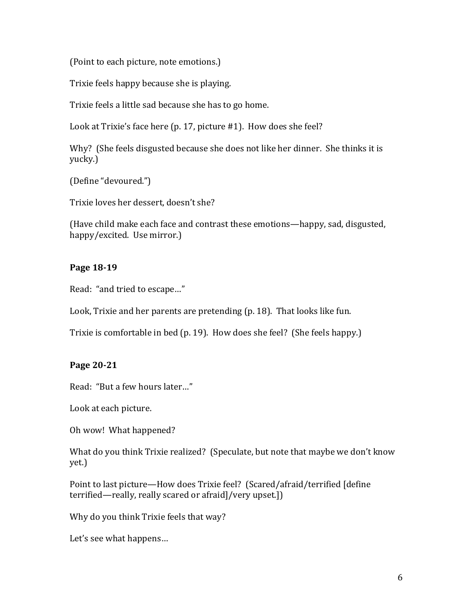(Point to each picture, note emotions.)

Trixie feels happy because she is playing.

Trixie feels a little sad because she has to go home.

Look at Trixie's face here  $(p. 17, picture #1)$ . How does she feel?

Why? (She feels disgusted because she does not like her dinner. She thinks it is yucky.) 

(Define "devoured.")

Trixie loves her dessert, doesn't she?

(Have child make each face and contrast these emotions—happy, sad, disgusted, happy/excited. Use mirror.)

# **Page 18-19**

Read: "and tried to escape..."

Look, Trixie and her parents are pretending (p. 18). That looks like fun.

Trixie is comfortable in bed (p. 19). How does she feel? (She feels happy.)

# **Page 20-21**

Read: "But a few hours later..."

Look at each picture.

Oh wow! What happened?

What do you think Trixie realized? (Speculate, but note that maybe we don't know yet.) 

Point to last picture—How does Trixie feel? (Scared/afraid/terrified [define terrified—really, really scared or afraid]/very upset.])

Why do you think Trixie feels that way?

Let's see what happens...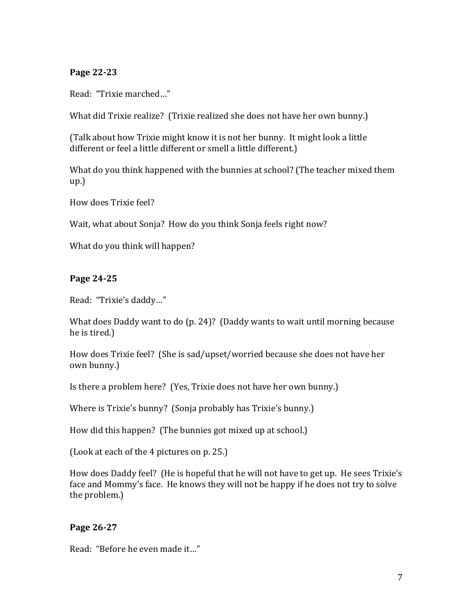## **Page 22-23**

Read: "Trixie marched..."

What did Trixie realize? (Trixie realized she does not have her own bunny.)

(Talk about how Trixie might know it is not her bunny. It might look a little different or feel a little different or smell a little different.)

What do you think happened with the bunnies at school? (The teacher mixed them up.)

How does Trixie feel?

Wait, what about Sonja? How do you think Sonja feels right now?

What do you think will happen?

## **Page 24-25**

Read: "Trixie's daddy..."

What does Daddy want to do  $(p. 24)$ ? (Daddy wants to wait until morning because he is tired.)

How does Trixie feel? (She is sad/upset/worried because she does not have her own bunny.)

Is there a problem here? (Yes, Trixie does not have her own bunny.)

Where is Trixie's bunny? (Sonja probably has Trixie's bunny.)

How did this happen? (The bunnies got mixed up at school.)

(Look at each of the 4 pictures on p. 25.)

How does Daddy feel? (He is hopeful that he will not have to get up. He sees Trixie's face and Mommy's face. He knows they will not be happy if he does not try to solve the problem.)

## **Page 26-27**

Read: "Before he even made it..."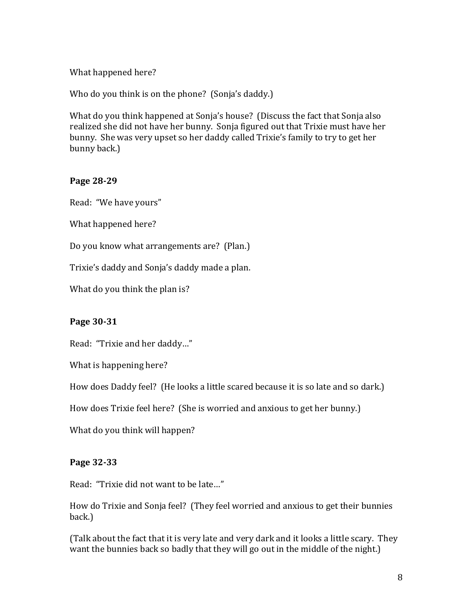## What happened here?

Who do you think is on the phone? (Sonja's daddy.)

What do you think happened at Sonja's house? (Discuss the fact that Sonja also realized she did not have her bunny. Sonja figured out that Trixie must have her bunny. She was very upset so her daddy called Trixie's family to try to get her bunny back.)

#### **Page 28-29**

Read: "We have yours"

What happened here?

Do you know what arrangements are? (Plan.)

Trixie's daddy and Sonja's daddy made a plan.

What do you think the plan is?

#### **Page 30-31**

Read: "Trixie and her daddy..."

What is happening here?

How does Daddy feel? (He looks a little scared because it is so late and so dark.)

How does Trixie feel here? (She is worried and anxious to get her bunny.)

What do you think will happen?

#### **Page 32-33**

Read: "Trixie did not want to be late..."

How do Trixie and Sonja feel? (They feel worried and anxious to get their bunnies back.)

(Talk about the fact that it is very late and very dark and it looks a little scary. They want the bunnies back so badly that they will go out in the middle of the night.)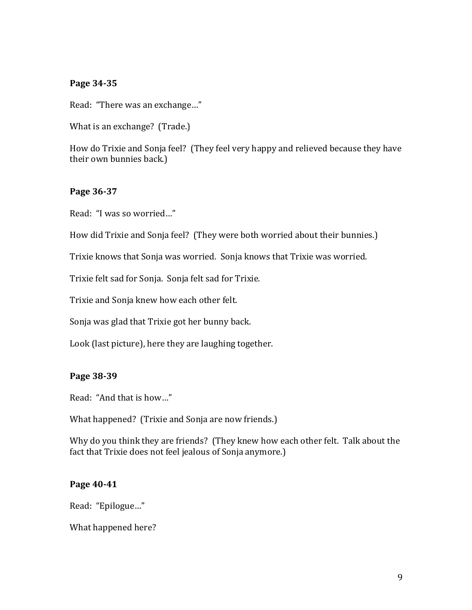#### **Page 34-35**

Read: "There was an exchange..."

What is an exchange? (Trade.)

How do Trixie and Sonja feel? (They feel very happy and relieved because they have their own bunnies back.)

#### **Page 36-37**

Read: "I was so worried..."

How did Trixie and Sonja feel? (They were both worried about their bunnies.)

Trixie knows that Sonja was worried. Sonja knows that Trixie was worried.

Trixie felt sad for Sonja. Sonja felt sad for Trixie.

Trixie and Sonja knew how each other felt.

Sonja was glad that Trixie got her bunny back.

Look (last picture), here they are laughing together.

#### **Page 38-39**

Read: "And that is how..."

What happened? (Trixie and Sonja are now friends.)

Why do you think they are friends? (They knew how each other felt. Talk about the fact that Trixie does not feel jealous of Sonja anymore.)

#### **Page 40-41**

Read: "Epilogue..."

What happened here?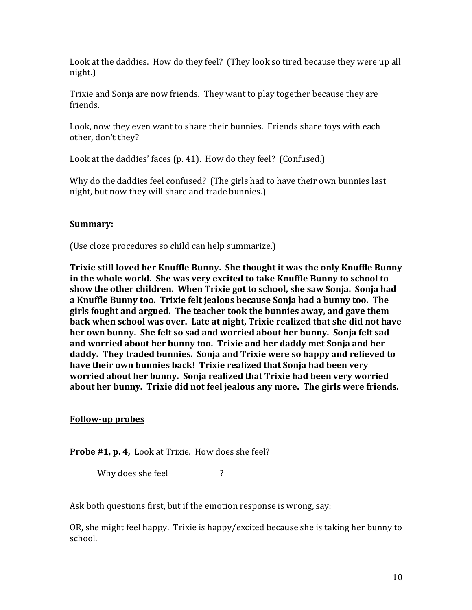Look at the daddies. How do they feel? (They look so tired because they were up all night.)

Trixie and Sonja are now friends. They want to play together because they are friends.

Look, now they even want to share their bunnies. Friends share toys with each other, don't they?

Look at the daddies' faces (p. 41). How do they feel? (Confused.)

Why do the daddies feel confused? (The girls had to have their own bunnies last night, but now they will share and trade bunnies.)

## **Summary:**

(Use cloze procedures so child can help summarize.)

**Trixie still loved her Knuffle Bunny. She thought it was the only Knuffle Bunny** in the whole world. She was very excited to take Knuffle Bunny to school to show the other children. When Trixie got to school, she saw Sonja. Sonja had a Knuffle Bunny too. Trixie felt jealous because Sonja had a bunny too. The girls fought and argued. The teacher took the bunnies away, and gave them back when school was over. Late at night, Trixie realized that she did not have her own bunny. She felt so sad and worried about her bunny. Sonja felt sad and worried about her bunny too. Trixie and her daddy met Sonja and her daddy. They traded bunnies. Sonja and Trixie were so happy and relieved to have their own bunnies back! Trixie realized that Sonja had been very worried about her bunny. Sonja realized that Trixie had been very worried about her bunny. Trixie did not feel jealous any more. The girls were friends.

# **Follow-up probes**

**Probe #1, p. 4,** Look at Trixie. How does she feel?

Why does she feel\_\_\_\_\_\_\_\_\_\_?

Ask both questions first, but if the emotion response is wrong, say:

OR, she might feel happy. Trixie is happy/excited because she is taking her bunny to school.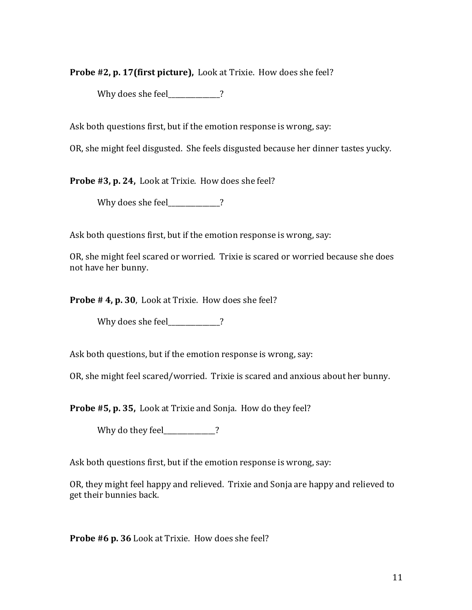**Probe #2, p. 17(first picture),** Look at Trixie. How does she feel?

Why does she feel  $\overline{\phantom{a}}$  ?

Ask both questions first, but if the emotion response is wrong, say:

OR, she might feel disgusted. She feels disgusted because her dinner tastes yucky.

**Probe #3, p. 24,** Look at Trixie. How does she feel?

Why does she feel 2

Ask both questions first, but if the emotion response is wrong, say:

OR, she might feel scared or worried. Trixie is scared or worried because she does not have her bunny.

**Probe # 4, p. 30**, Look at Trixie. How does she feel?

Why does she feel\_\_\_\_\_\_\_\_\_\_?

Ask both questions, but if the emotion response is wrong, say:

OR, she might feel scared/worried. Trixie is scared and anxious about her bunny.

**Probe #5, p. 35,** Look at Trixie and Sonja. How do they feel?

Why do they feel 2

Ask both questions first, but if the emotion response is wrong, say:

OR, they might feel happy and relieved. Trixie and Sonja are happy and relieved to get their bunnies back.

**Probe #6 p. 36** Look at Trixie. How does she feel?